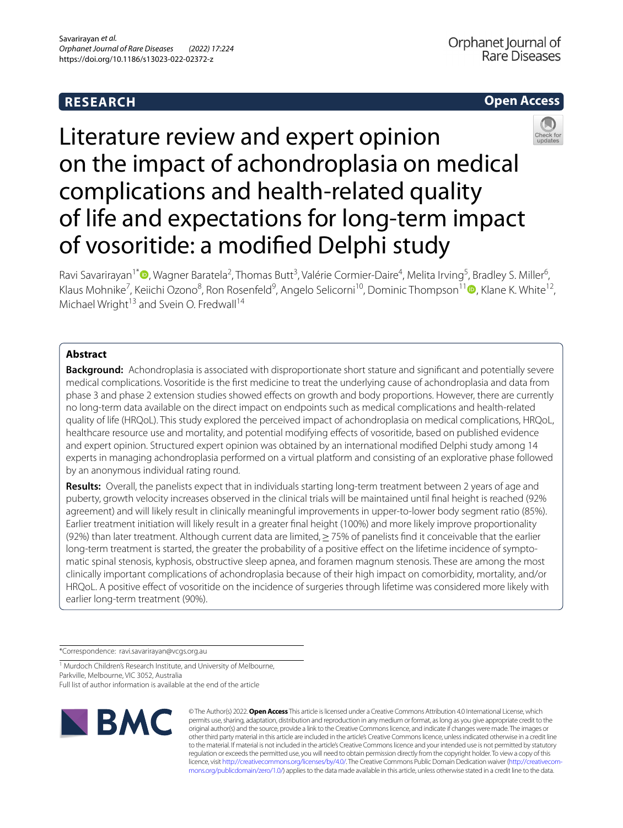## **RESEARCH**



# Literature review and expert opinion on the impact of achondroplasia on medical complications and health-related quality of life and expectations for long-term impact of vosoritide: a modifed Delphi study

Ravi Savarirayan<sup>1\*</sup><sup>®</sup>[,](http://orcid.org/0000-0002-5105-8427) Wagner Baratela<sup>2</sup>, Thomas Butt<sup>3</sup>, Valérie Cormier-Daire<sup>4</sup>, Melita Irving<sup>5</sup>, Bradley S. Miller<sup>6</sup>, Klaus Mohnike<sup>7</sup>, Keiichi Ozono<sup>8</sup>, Ron Rosenfeld<sup>9</sup>, Angelo Selicorni<sup>[1](http://orcid.org/0000-0002-1114-9869)0</sup>, Dominic Thompson<sup>11</sup> (D, Klane K. White<sup>12</sup>, Michael Wright<sup>13</sup> and Svein O. Fredwall<sup>14</sup>

## **Abstract**

**Background:** Achondroplasia is associated with disproportionate short stature and signifcant and potentially severe medical complications. Vosoritide is the frst medicine to treat the underlying cause of achondroplasia and data from phase 3 and phase 2 extension studies showed efects on growth and body proportions. However, there are currently no long-term data available on the direct impact on endpoints such as medical complications and health-related quality of life (HRQoL). This study explored the perceived impact of achondroplasia on medical complications, HRQoL, healthcare resource use and mortality, and potential modifying efects of vosoritide, based on published evidence and expert opinion. Structured expert opinion was obtained by an international modifed Delphi study among 14 experts in managing achondroplasia performed on a virtual platform and consisting of an explorative phase followed by an anonymous individual rating round.

**Results:** Overall, the panelists expect that in individuals starting long-term treatment between 2 years of age and puberty, growth velocity increases observed in the clinical trials will be maintained until fnal height is reached (92% agreement) and will likely result in clinically meaningful improvements in upper-to-lower body segment ratio (85%). Earlier treatment initiation will likely result in a greater fnal height (100%) and more likely improve proportionality (92%) than later treatment. Although current data are limited,≥75% of panelists fnd it conceivable that the earlier long-term treatment is started, the greater the probability of a positive effect on the lifetime incidence of symptomatic spinal stenosis, kyphosis, obstructive sleep apnea, and foramen magnum stenosis. These are among the most clinically important complications of achondroplasia because of their high impact on comorbidity, mortality, and/or HRQoL. A positive efect of vosoritide on the incidence of surgeries through lifetime was considered more likely with earlier long-term treatment (90%).

\*Correspondence: ravi.savarirayan@vcgs.org.au

<sup>1</sup> Murdoch Children's Research Institute, and University of Melbourne, Parkville, Melbourne, VIC 3052, Australia Full list of author information is available at the end of the article



© The Author(s) 2022. **Open Access** This article is licensed under a Creative Commons Attribution 4.0 International License, which permits use, sharing, adaptation, distribution and reproduction in any medium or format, as long as you give appropriate credit to the original author(s) and the source, provide a link to the Creative Commons licence, and indicate if changes were made. The images or other third party material in this article are included in the article's Creative Commons licence, unless indicated otherwise in a credit line to the material. If material is not included in the article's Creative Commons licence and your intended use is not permitted by statutory regulation or exceeds the permitted use, you will need to obtain permission directly from the copyright holder. To view a copy of this licence, visit [http://creativecommons.org/licenses/by/4.0/.](http://creativecommons.org/licenses/by/4.0/) The Creative Commons Public Domain Dedication waiver (http://creativecom[mons.org/publicdomain/zero/1.0/\)](http://creativecommons.org/publicdomain/zero/1.0/) applies to the data made available in this article, unless otherwise stated in a credit line to the data.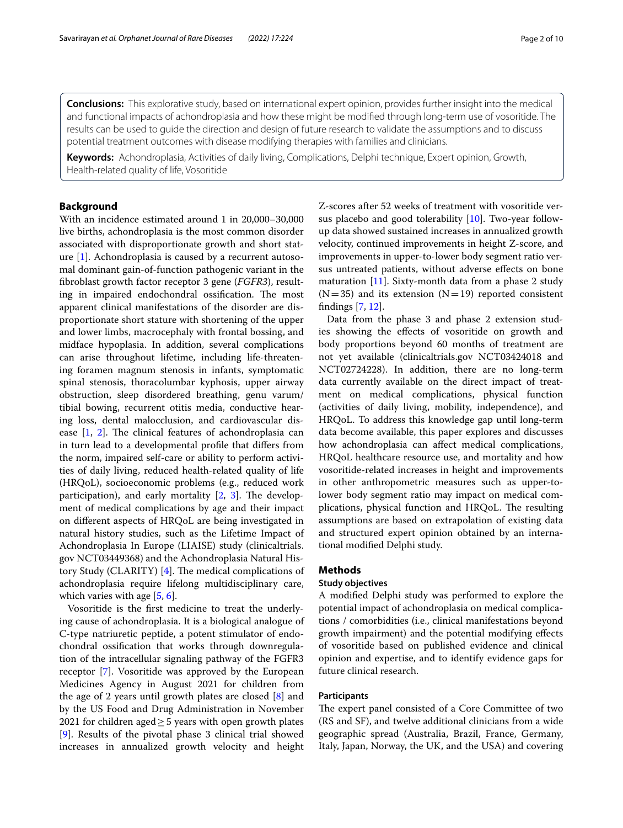**Conclusions:** This explorative study, based on international expert opinion, provides further insight into the medical and functional impacts of achondroplasia and how these might be modifed through long-term use of vosoritide. The results can be used to guide the direction and design of future research to validate the assumptions and to discuss potential treatment outcomes with disease modifying therapies with families and clinicians.

**Keywords:** Achondroplasia, Activities of daily living, Complications, Delphi technique, Expert opinion, Growth, Health-related quality of life, Vosoritide

## **Background**

With an incidence estimated around 1 in 20,000–30,000 live births, achondroplasia is the most common disorder associated with disproportionate growth and short stature [\[1](#page-8-0)]. Achondroplasia is caused by a recurrent autosomal dominant gain-of-function pathogenic variant in the fbroblast growth factor receptor 3 gene (*FGFR3*), resulting in impaired endochondral ossification. The most apparent clinical manifestations of the disorder are disproportionate short stature with shortening of the upper and lower limbs, macrocephaly with frontal bossing, and midface hypoplasia. In addition, several complications can arise throughout lifetime, including life-threatening foramen magnum stenosis in infants, symptomatic spinal stenosis, thoracolumbar kyphosis, upper airway obstruction, sleep disordered breathing, genu varum/ tibial bowing, recurrent otitis media, conductive hearing loss, dental malocclusion, and cardiovascular disease  $[1, 2]$  $[1, 2]$  $[1, 2]$  $[1, 2]$ . The clinical features of achondroplasia can in turn lead to a developmental profle that difers from the norm, impaired self-care or ability to perform activities of daily living, reduced health-related quality of life (HRQoL), socioeconomic problems (e.g., reduced work participation), and early mortality  $[2, 3]$  $[2, 3]$  $[2, 3]$  $[2, 3]$  $[2, 3]$ . The development of medical complications by age and their impact on diferent aspects of HRQoL are being investigated in natural history studies, such as the Lifetime Impact of Achondroplasia In Europe (LIAISE) study (clinicaltrials. gov NCT03449368) and the Achondroplasia Natural History Study (CLARITY)  $[4]$  $[4]$ . The medical complications of achondroplasia require lifelong multidisciplinary care, which varies with age [[5,](#page-8-4) [6\]](#page-8-5).

Vosoritide is the frst medicine to treat the underlying cause of achondroplasia. It is a biological analogue of C-type natriuretic peptide, a potent stimulator of endochondral ossifcation that works through downregulation of the intracellular signaling pathway of the FGFR3 receptor [\[7](#page-8-6)]. Vosoritide was approved by the European Medicines Agency in August 2021 for children from the age of 2 years until growth plates are closed [[8\]](#page-8-7) and by the US Food and Drug Administration in November 2021 for children aged $\geq$  5 years with open growth plates [[9\]](#page-8-8). Results of the pivotal phase 3 clinical trial showed increases in annualized growth velocity and height

Z-scores after 52 weeks of treatment with vosoritide versus placebo and good tolerability [[10\]](#page-8-9). Two-year followup data showed sustained increases in annualized growth velocity, continued improvements in height Z-score, and improvements in upper-to-lower body segment ratio versus untreated patients, without adverse efects on bone maturation  $[11]$  $[11]$ . Sixty-month data from a phase 2 study  $(N=35)$  and its extension  $(N=19)$  reported consistent fndings [\[7,](#page-8-6) [12](#page-8-11)].

Data from the phase 3 and phase 2 extension studies showing the efects of vosoritide on growth and body proportions beyond 60 months of treatment are not yet available (clinicaltrials.gov NCT03424018 and NCT02724228). In addition, there are no long-term data currently available on the direct impact of treatment on medical complications, physical function (activities of daily living, mobility, independence), and HRQoL. To address this knowledge gap until long-term data become available, this paper explores and discusses how achondroplasia can afect medical complications, HRQoL healthcare resource use, and mortality and how vosoritide-related increases in height and improvements in other anthropometric measures such as upper-tolower body segment ratio may impact on medical complications, physical function and HRQoL. The resulting assumptions are based on extrapolation of existing data and structured expert opinion obtained by an international modifed Delphi study.

## **Methods**

## **Study objectives**

A modifed Delphi study was performed to explore the potential impact of achondroplasia on medical complications / comorbidities (i.e., clinical manifestations beyond growth impairment) and the potential modifying efects of vosoritide based on published evidence and clinical opinion and expertise, and to identify evidence gaps for future clinical research.

## **Participants**

The expert panel consisted of a Core Committee of two (RS and SF), and twelve additional clinicians from a wide geographic spread (Australia, Brazil, France, Germany, Italy, Japan, Norway, the UK, and the USA) and covering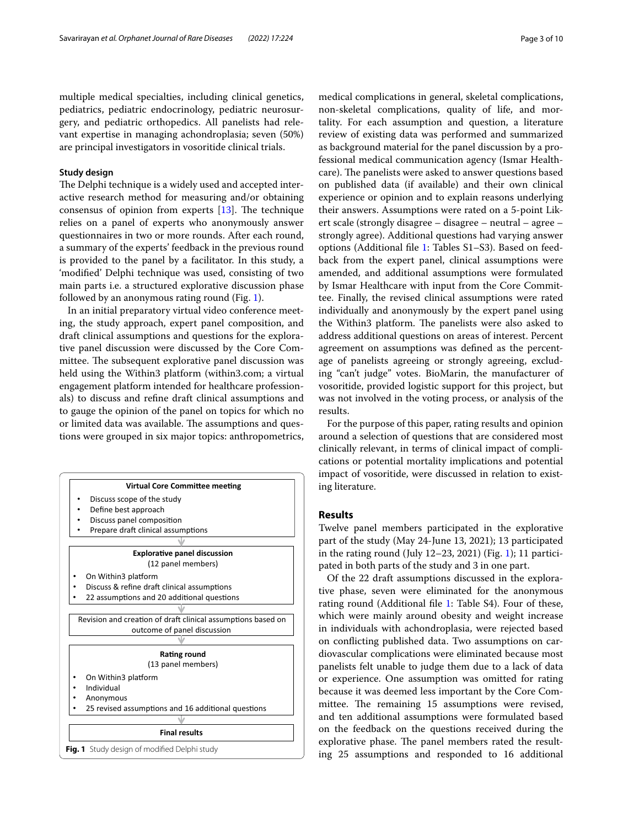multiple medical specialties, including clinical genetics, pediatrics, pediatric endocrinology, pediatric neurosurgery, and pediatric orthopedics. All panelists had relevant expertise in managing achondroplasia; seven (50%) are principal investigators in vosoritide clinical trials.

#### **Study design**

The Delphi technique is a widely used and accepted interactive research method for measuring and/or obtaining consensus of opinion from experts  $[13]$  $[13]$ . The technique relies on a panel of experts who anonymously answer questionnaires in two or more rounds. After each round, a summary of the experts' feedback in the previous round is provided to the panel by a facilitator. In this study, a 'modifed' Delphi technique was used, consisting of two main parts i.e. a structured explorative discussion phase followed by an anonymous rating round (Fig. [1](#page-2-0)).

In an initial preparatory virtual video conference meeting, the study approach, expert panel composition, and draft clinical assumptions and questions for the explorative panel discussion were discussed by the Core Committee. The subsequent explorative panel discussion was held using the Within3 platform (within3.com; a virtual engagement platform intended for healthcare professionals) to discuss and refne draft clinical assumptions and to gauge the opinion of the panel on topics for which no or limited data was available. The assumptions and questions were grouped in six major topics: anthropometrics,

<span id="page-2-0"></span>

medical complications in general, skeletal complications, non-skeletal complications, quality of life, and mortality. For each assumption and question, a literature review of existing data was performed and summarized as background material for the panel discussion by a professional medical communication agency (Ismar Healthcare). The panelists were asked to answer questions based on published data (if available) and their own clinical experience or opinion and to explain reasons underlying their answers. Assumptions were rated on a 5-point Likert scale (strongly disagree – disagree – neutral – agree – strongly agree). Additional questions had varying answer options (Additional fle [1](#page-7-0): Tables S1–S3). Based on feedback from the expert panel, clinical assumptions were amended, and additional assumptions were formulated by Ismar Healthcare with input from the Core Committee. Finally, the revised clinical assumptions were rated individually and anonymously by the expert panel using the Within3 platform. The panelists were also asked to address additional questions on areas of interest. Percent agreement on assumptions was defned as the percentage of panelists agreeing or strongly agreeing, excluding "can't judge" votes. BioMarin, the manufacturer of vosoritide, provided logistic support for this project, but was not involved in the voting process, or analysis of the results.

For the purpose of this paper, rating results and opinion around a selection of questions that are considered most clinically relevant, in terms of clinical impact of complications or potential mortality implications and potential impact of vosoritide, were discussed in relation to existing literature.

## **Results**

Twelve panel members participated in the explorative part of the study (May 24-June 13, 2021); 13 participated in the rating round (July 12–23, 2021) (Fig. [1\)](#page-2-0); 11 participated in both parts of the study and 3 in one part.

Of the 22 draft assumptions discussed in the explorative phase, seven were eliminated for the anonymous rating round (Additional fle [1](#page-7-0): Table S4). Four of these, which were mainly around obesity and weight increase in individuals with achondroplasia, were rejected based on conficting published data. Two assumptions on cardiovascular complications were eliminated because most panelists felt unable to judge them due to a lack of data or experience. One assumption was omitted for rating because it was deemed less important by the Core Committee. The remaining 15 assumptions were revised, and ten additional assumptions were formulated based on the feedback on the questions received during the explorative phase. The panel members rated the resulting 25 assumptions and responded to 16 additional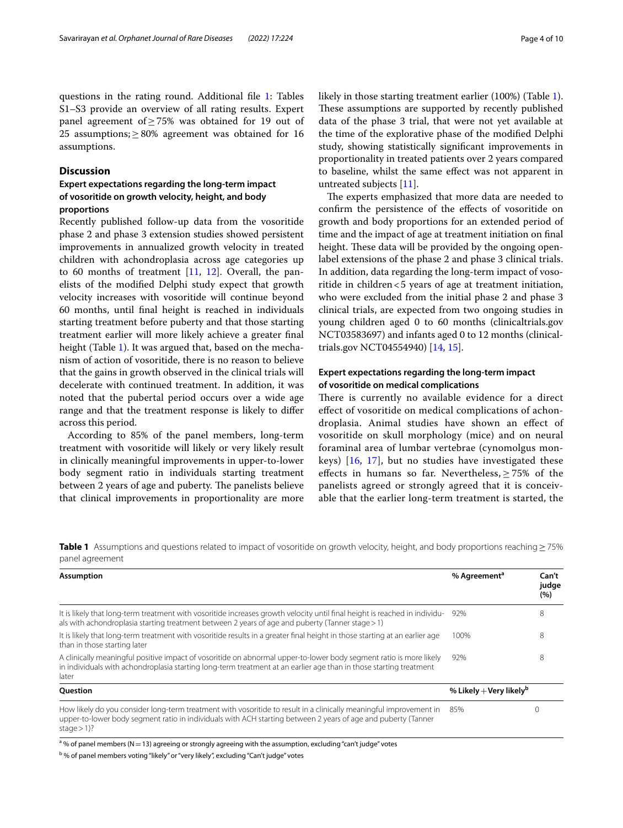questions in the rating round. Additional file [1](#page-7-0): Tables S1–S3 provide an overview of all rating results. Expert panel agreement of≥75% was obtained for 19 out of 25 assumptions;  $\geq$  80% agreement was obtained for 16 assumptions.

## <span id="page-3-1"></span>**Discussion**

## **Expert expectations regarding the long‑term impact of vosoritide on growth velocity, height, and body proportions**

Recently published follow-up data from the vosoritide phase 2 and phase 3 extension studies showed persistent improvements in annualized growth velocity in treated children with achondroplasia across age categories up to 60 months of treatment [[11](#page-8-10), [12](#page-8-11)]. Overall, the panelists of the modifed Delphi study expect that growth velocity increases with vosoritide will continue beyond 60 months, until fnal height is reached in individuals starting treatment before puberty and that those starting treatment earlier will more likely achieve a greater fnal height (Table [1](#page-3-0)). It was argued that, based on the mechanism of action of vosoritide, there is no reason to believe that the gains in growth observed in the clinical trials will decelerate with continued treatment. In addition, it was noted that the pubertal period occurs over a wide age range and that the treatment response is likely to difer across this period.

According to 85% of the panel members, long-term treatment with vosoritide will likely or very likely result in clinically meaningful improvements in upper-to-lower body segment ratio in individuals starting treatment between 2 years of age and puberty. The panelists believe that clinical improvements in proportionality are more likely in those starting treatment earlier (100%) (Table [1](#page-3-0)). These assumptions are supported by recently published data of the phase 3 trial, that were not yet available at the time of the explorative phase of the modifed Delphi study, showing statistically signifcant improvements in proportionality in treated patients over 2 years compared to baseline, whilst the same efect was not apparent in untreated subjects [\[11](#page-8-10)].

The experts emphasized that more data are needed to confrm the persistence of the efects of vosoritide on growth and body proportions for an extended period of time and the impact of age at treatment initiation on fnal height. These data will be provided by the ongoing openlabel extensions of the phase 2 and phase 3 clinical trials. In addition, data regarding the long-term impact of vosoritide in children<5 years of age at treatment initiation, who were excluded from the initial phase 2 and phase 3 clinical trials, are expected from two ongoing studies in young children aged 0 to 60 months (clinicaltrials.gov NCT03583697) and infants aged 0 to 12 months (clinicaltrials.gov NCT04554940) [[14,](#page-8-13) [15\]](#page-8-14).

## **Expert expectations regarding the long‑term impact of vosoritide on medical complications**

There is currently no available evidence for a direct efect of vosoritide on medical complications of achondroplasia. Animal studies have shown an efect of vosoritide on skull morphology (mice) and on neural foraminal area of lumbar vertebrae (cynomolgus monkeys) [[16](#page-8-15), [17\]](#page-8-16), but no studies have investigated these effects in humans so far. Nevertheless,  $\geq$  75% of the panelists agreed or strongly agreed that it is conceivable that the earlier long-term treatment is started, the

<span id="page-3-0"></span>**Table 1** Assumptions and questions related to impact of vosoritide on growth velocity, height, and body proportions reaching≥75% panel agreement

| <b>Assumption</b>                                                                                                                                                                                                                                    | % Agreement <sup>a</sup>            | Can't<br>judge<br>(%) |
|------------------------------------------------------------------------------------------------------------------------------------------------------------------------------------------------------------------------------------------------------|-------------------------------------|-----------------------|
| It is likely that long-term treatment with vosoritide increases growth velocity until final height is reached in individu-<br>als with achondroplasia starting treatment between 2 years of age and puberty (Tanner stage > 1)                       | 92%                                 | 8                     |
| It is likely that long-term treatment with vosoritide results in a greater final height in those starting at an earlier age<br>than in those starting later                                                                                          | 100%                                | 8                     |
| A clinically meaningful positive impact of vosoritide on abnormal upper-to-lower body segment ratio is more likely<br>in individuals with achondroplasia starting long-term treatment at an earlier age than in those starting treatment<br>later    | 92%                                 | 8                     |
| Question                                                                                                                                                                                                                                             | % Likely $+$ Very likely $^{\sf b}$ |                       |
| How likely do you consider long-term treatment with vosoritide to result in a clinically meaningful improvement in<br>upper-to-lower body segment ratio in individuals with ACH starting between 2 years of age and puberty (Tanner<br>stage $>$ 1)? | 85%                                 |                       |

 $^{\text{a}}$  % of panel members (N  $=$  13) agreeing or strongly agreeing with the assumption, excluding "can't judge" votes

<sup>b</sup> % of panel members voting "likely" or "very likely", excluding "Can't judge" votes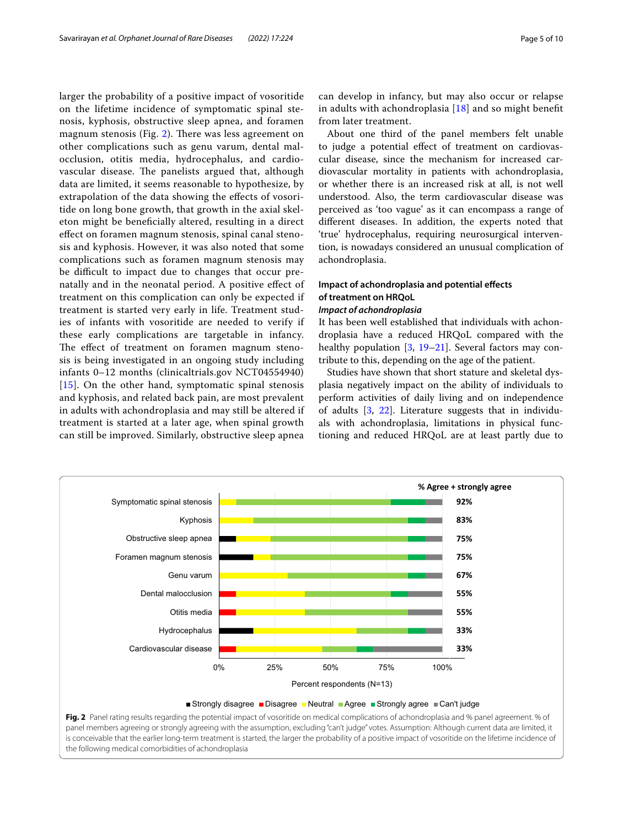larger the probability of a positive impact of vosoritide on the lifetime incidence of symptomatic spinal stenosis, kyphosis, obstructive sleep apnea, and foramen magnum stenosis (Fig. [2\)](#page-4-0). There was less agreement on other complications such as genu varum, dental malocclusion, otitis media, hydrocephalus, and cardiovascular disease. The panelists argued that, although data are limited, it seems reasonable to hypothesize, by extrapolation of the data showing the efects of vosoritide on long bone growth, that growth in the axial skeleton might be benefcially altered, resulting in a direct efect on foramen magnum stenosis, spinal canal stenosis and kyphosis. However, it was also noted that some complications such as foramen magnum stenosis may be difficult to impact due to changes that occur prenatally and in the neonatal period. A positive efect of treatment on this complication can only be expected if treatment is started very early in life. Treatment studies of infants with vosoritide are needed to verify if these early complications are targetable in infancy. The effect of treatment on foramen magnum stenosis is being investigated in an ongoing study including infants 0–12 months (clinicaltrials.gov NCT04554940) [[15](#page-8-14)]. On the other hand, symptomatic spinal stenosis and kyphosis, and related back pain, are most prevalent in adults with achondroplasia and may still be altered if treatment is started at a later age, when spinal growth can still be improved. Similarly, obstructive sleep apnea

About one third of the panel members felt unable to judge a potential efect of treatment on cardiovascular disease, since the mechanism for increased cardiovascular mortality in patients with achondroplasia, or whether there is an increased risk at all, is not well understood. Also, the term cardiovascular disease was perceived as 'too vague' as it can encompass a range of diferent diseases. In addition, the experts noted that 'true' hydrocephalus, requiring neurosurgical intervention, is nowadays considered an unusual complication of achondroplasia.

## **Impact of achondroplasia and potential efects of treatment on HRQoL**

## *Impact of achondroplasia*

It has been well established that individuals with achondroplasia have a reduced HRQoL compared with the healthy population  $[3, 19-21]$  $[3, 19-21]$  $[3, 19-21]$  $[3, 19-21]$  $[3, 19-21]$ . Several factors may contribute to this, depending on the age of the patient.

Studies have shown that short stature and skeletal dysplasia negatively impact on the ability of individuals to perform activities of daily living and on independence of adults [[3](#page-8-2), [22](#page-8-20)]. Literature suggests that in individuals with achondroplasia, limitations in physical functioning and reduced HRQoL are at least partly due to



<span id="page-4-0"></span>Fig. 2 Panel rating results regarding the potential impact of vosoritide on medical complications of achondroplasia and % panel agreement. % of panel members agreeing or strongly agreeing with the assumption, excluding "can't judge" votes. Assumption: Although current data are limited, it is conceivable that the earlier long-term treatment is started, the larger the probability of a positive impact of vosoritide on the lifetime incidence of the following medical comorbidities of achondroplasia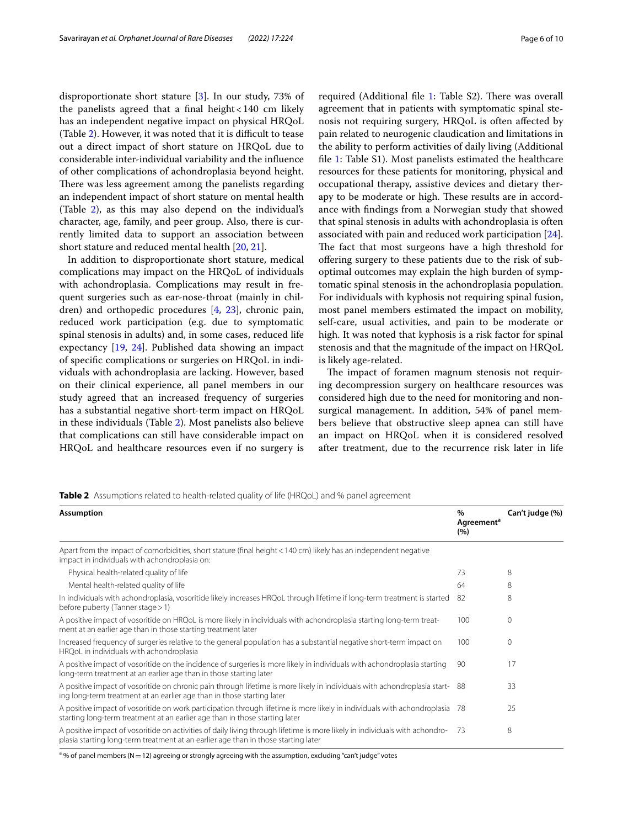disproportionate short stature [[3\]](#page-8-2). In our study, 73% of the panelists agreed that a final height  $<$  140 cm likely has an independent negative impact on physical HRQoL (Table  $2$ ). However, it was noted that it is difficult to tease out a direct impact of short stature on HRQoL due to considerable inter-individual variability and the infuence of other complications of achondroplasia beyond height. There was less agreement among the panelists regarding an independent impact of short stature on mental health (Table [2\)](#page-5-0), as this may also depend on the individual's character, age, family, and peer group. Also, there is currently limited data to support an association between short stature and reduced mental health [[20](#page-8-21), [21\]](#page-8-19).

In addition to disproportionate short stature, medical complications may impact on the HRQoL of individuals with achondroplasia. Complications may result in frequent surgeries such as ear-nose-throat (mainly in children) and orthopedic procedures [[4](#page-8-3), [23\]](#page-8-22), chronic pain, reduced work participation (e.g. due to symptomatic spinal stenosis in adults) and, in some cases, reduced life expectancy [[19,](#page-8-18) [24\]](#page-8-23). Published data showing an impact of specifc complications or surgeries on HRQoL in individuals with achondroplasia are lacking. However, based on their clinical experience, all panel members in our study agreed that an increased frequency of surgeries has a substantial negative short-term impact on HRQoL in these individuals (Table [2](#page-5-0)). Most panelists also believe that complications can still have considerable impact on HRQoL and healthcare resources even if no surgery is required (Additional file [1:](#page-7-0) Table S2). There was overall agreement that in patients with symptomatic spinal stenosis not requiring surgery, HRQoL is often afected by pain related to neurogenic claudication and limitations in the ability to perform activities of daily living (Additional fle [1](#page-7-0): Table S1). Most panelists estimated the healthcare resources for these patients for monitoring, physical and occupational therapy, assistive devices and dietary therapy to be moderate or high. These results are in accordance with fndings from a Norwegian study that showed that spinal stenosis in adults with achondroplasia is often associated with pain and reduced work participation [\[24](#page-8-23)]. The fact that most surgeons have a high threshold for ofering surgery to these patients due to the risk of suboptimal outcomes may explain the high burden of symptomatic spinal stenosis in the achondroplasia population. For individuals with kyphosis not requiring spinal fusion, most panel members estimated the impact on mobility, self-care, usual activities, and pain to be moderate or high. It was noted that kyphosis is a risk factor for spinal stenosis and that the magnitude of the impact on HRQoL is likely age-related.

The impact of foramen magnum stenosis not requiring decompression surgery on healthcare resources was considered high due to the need for monitoring and nonsurgical management. In addition, 54% of panel members believe that obstructive sleep apnea can still have an impact on HRQoL when it is considered resolved after treatment, due to the recurrence risk later in life

<span id="page-5-0"></span>

| <b>Table 2</b> Assumptions related to health-related quality of life (HRQoL) and % panel agreement |  |  |
|----------------------------------------------------------------------------------------------------|--|--|
|----------------------------------------------------------------------------------------------------|--|--|

| $\frac{0}{0}$<br>Agreement <sup>a</sup><br>(%)                                                                           | Can't judge (%) |
|--------------------------------------------------------------------------------------------------------------------------|-----------------|
|                                                                                                                          |                 |
| 73                                                                                                                       | 8               |
| 64                                                                                                                       | 8               |
| -82                                                                                                                      | 8               |
| 100                                                                                                                      | $\Omega$        |
| 100                                                                                                                      | $\Omega$        |
| 90                                                                                                                       | 17              |
| -88                                                                                                                      | 33              |
| -78                                                                                                                      | 25              |
| -73                                                                                                                      | 8               |
| A positive impact of vosoritide on work participation through lifetime is more likely in individuals with achondroplasia |                 |

% of panel members (N $=$  12) agreeing or strongly agreeing with the assumption, excluding "can't judge" votes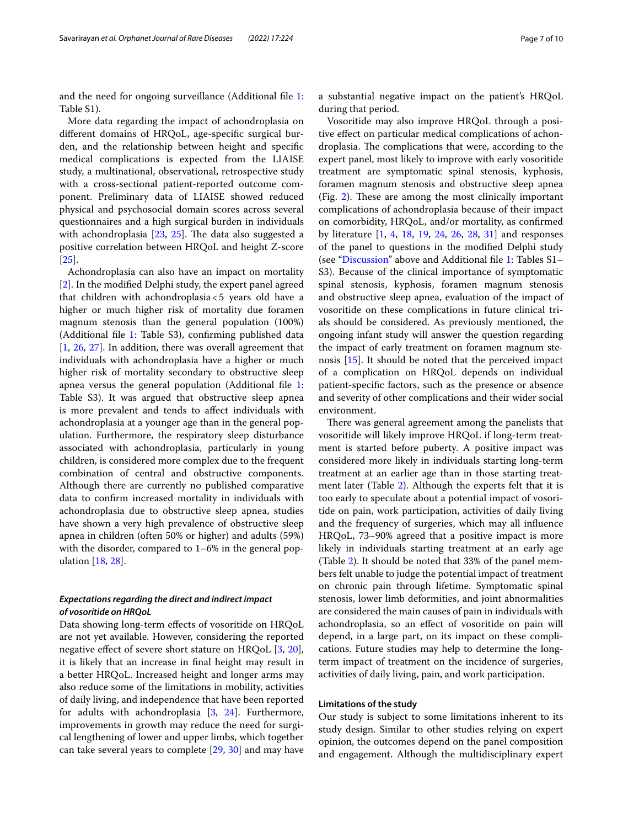and the need for ongoing surveillance (Additional fle [1](#page-7-0): Table S1).

More data regarding the impact of achondroplasia on diferent domains of HRQoL, age-specifc surgical burden, and the relationship between height and specifc medical complications is expected from the LIAISE study, a multinational, observational, retrospective study with a cross-sectional patient-reported outcome component. Preliminary data of LIAISE showed reduced physical and psychosocial domain scores across several questionnaires and a high surgical burden in individuals with achondroplasia  $[23, 25]$  $[23, 25]$  $[23, 25]$  $[23, 25]$  $[23, 25]$ . The data also suggested a positive correlation between HRQoL and height Z-score [[25\]](#page-8-24).

Achondroplasia can also have an impact on mortality [[2\]](#page-8-1). In the modifed Delphi study, the expert panel agreed that children with achondroplasia<5 years old have a higher or much higher risk of mortality due foramen magnum stenosis than the general population (100%) (Additional fle [1:](#page-7-0) Table S3), confrming published data [[1,](#page-8-0) [26,](#page-8-25) [27](#page-8-26)]. In addition, there was overall agreement that individuals with achondroplasia have a higher or much higher risk of mortality secondary to obstructive sleep apnea versus the general population (Additional fle [1](#page-7-0): Table S3). It was argued that obstructive sleep apnea is more prevalent and tends to afect individuals with achondroplasia at a younger age than in the general population. Furthermore, the respiratory sleep disturbance associated with achondroplasia, particularly in young children, is considered more complex due to the frequent combination of central and obstructive components. Although there are currently no published comparative data to confrm increased mortality in individuals with achondroplasia due to obstructive sleep apnea, studies have shown a very high prevalence of obstructive sleep apnea in children (often 50% or higher) and adults (59%) with the disorder, compared to 1–6% in the general population [[18,](#page-8-17) [28](#page-9-0)].

## *Expectations regarding the direct and indirect impact of vosoritide on HRQoL*

Data showing long-term efects of vosoritide on HRQoL are not yet available. However, considering the reported negative efect of severe short stature on HRQoL [\[3](#page-8-2), [20](#page-8-21)], it is likely that an increase in fnal height may result in a better HRQoL. Increased height and longer arms may also reduce some of the limitations in mobility, activities of daily living, and independence that have been reported for adults with achondroplasia [\[3](#page-8-2), [24](#page-8-23)]. Furthermore, improvements in growth may reduce the need for surgical lengthening of lower and upper limbs, which together can take several years to complete [\[29](#page-9-1), [30](#page-9-2)] and may have a substantial negative impact on the patient's HRQoL during that period.

Vosoritide may also improve HRQoL through a positive efect on particular medical complications of achondroplasia. The complications that were, according to the expert panel, most likely to improve with early vosoritide treatment are symptomatic spinal stenosis, kyphosis, foramen magnum stenosis and obstructive sleep apnea  $(Fig. 2)$  $(Fig. 2)$  $(Fig. 2)$ . These are among the most clinically important complications of achondroplasia because of their impact on comorbidity, HRQoL, and/or mortality, as confrmed by literature [\[1](#page-8-0), [4](#page-8-3), [18,](#page-8-17) [19,](#page-8-18) [24](#page-8-23), [26](#page-8-25), [28,](#page-9-0) [31\]](#page-9-3) and responses of the panel to questions in the modifed Delphi study (see ["Discussion](#page-3-1)" above and Additional fle [1:](#page-7-0) Tables S1– S3). Because of the clinical importance of symptomatic spinal stenosis, kyphosis, foramen magnum stenosis and obstructive sleep apnea, evaluation of the impact of vosoritide on these complications in future clinical trials should be considered. As previously mentioned, the ongoing infant study will answer the question regarding the impact of early treatment on foramen magnum stenosis [\[15](#page-8-14)]. It should be noted that the perceived impact of a complication on HRQoL depends on individual patient-specifc factors, such as the presence or absence and severity of other complications and their wider social environment.

There was general agreement among the panelists that vosoritide will likely improve HRQoL if long-term treatment is started before puberty. A positive impact was considered more likely in individuals starting long-term treatment at an earlier age than in those starting treatment later (Table [2](#page-5-0)). Although the experts felt that it is too early to speculate about a potential impact of vosoritide on pain, work participation, activities of daily living and the frequency of surgeries, which may all infuence HRQoL, 73–90% agreed that a positive impact is more likely in individuals starting treatment at an early age (Table [2\)](#page-5-0). It should be noted that 33% of the panel members felt unable to judge the potential impact of treatment on chronic pain through lifetime. Symptomatic spinal stenosis, lower limb deformities, and joint abnormalities are considered the main causes of pain in individuals with achondroplasia, so an efect of vosoritide on pain will depend, in a large part, on its impact on these complications. Future studies may help to determine the longterm impact of treatment on the incidence of surgeries, activities of daily living, pain, and work participation.

#### **Limitations of the study**

Our study is subject to some limitations inherent to its study design. Similar to other studies relying on expert opinion, the outcomes depend on the panel composition and engagement. Although the multidisciplinary expert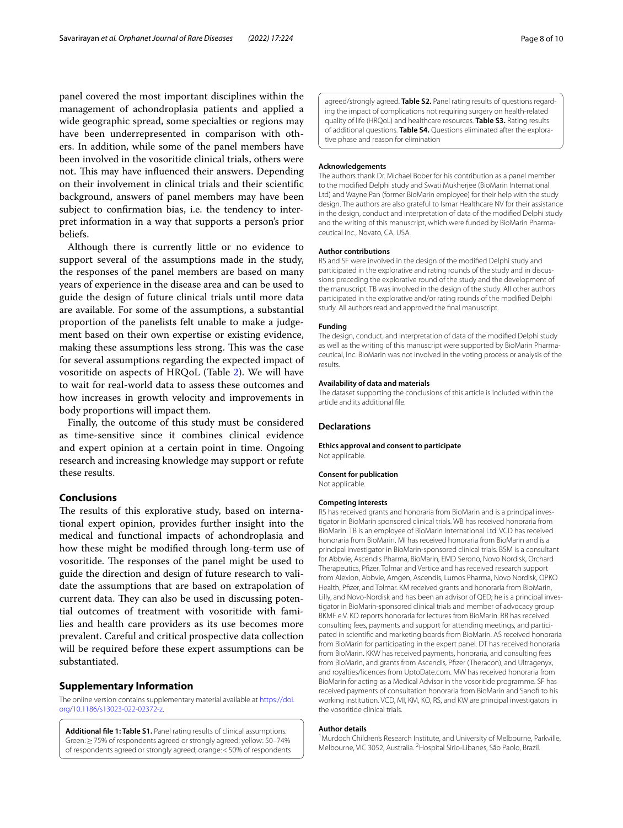panel covered the most important disciplines within the management of achondroplasia patients and applied a wide geographic spread, some specialties or regions may have been underrepresented in comparison with others. In addition, while some of the panel members have been involved in the vosoritide clinical trials, others were not. This may have influenced their answers. Depending on their involvement in clinical trials and their scientifc background, answers of panel members may have been subject to confrmation bias, i.e. the tendency to interpret information in a way that supports a person's prior beliefs.

Although there is currently little or no evidence to support several of the assumptions made in the study, the responses of the panel members are based on many years of experience in the disease area and can be used to guide the design of future clinical trials until more data are available. For some of the assumptions, a substantial proportion of the panelists felt unable to make a judgement based on their own expertise or existing evidence, making these assumptions less strong. This was the case for several assumptions regarding the expected impact of vosoritide on aspects of HRQoL (Table [2](#page-5-0)). We will have to wait for real-world data to assess these outcomes and how increases in growth velocity and improvements in body proportions will impact them.

Finally, the outcome of this study must be considered as time-sensitive since it combines clinical evidence and expert opinion at a certain point in time. Ongoing research and increasing knowledge may support or refute these results.

## **Conclusions**

The results of this explorative study, based on international expert opinion, provides further insight into the medical and functional impacts of achondroplasia and how these might be modifed through long-term use of vosoritide. The responses of the panel might be used to guide the direction and design of future research to validate the assumptions that are based on extrapolation of current data. They can also be used in discussing potential outcomes of treatment with vosoritide with families and health care providers as its use becomes more prevalent. Careful and critical prospective data collection will be required before these expert assumptions can be substantiated.

#### **Supplementary Information**

The online version contains supplementary material available at [https://doi.](https://doi.org/10.1186/s13023-022-02372-z) [org/10.1186/s13023-022-02372-z.](https://doi.org/10.1186/s13023-022-02372-z)

<span id="page-7-0"></span>**Additional fle 1: Table S1.** Panel rating results of clinical assumptions. Green:≥75% of respondents agreed or strongly agreed; yellow: 50–74% of respondents agreed or strongly agreed; orange:<50% of respondents

agreed/strongly agreed. **Table S2.** Panel rating results of questions regarding the impact of complications not requiring surgery on health-related quality of life (HRQoL) and healthcare resources. **Table S3.** Rating results of additional questions. **Table S4.** Questions eliminated after the explorative phase and reason for elimination

#### **Acknowledgements**

The authors thank Dr. Michael Bober for his contribution as a panel member to the modifed Delphi study and Swati Mukherjee (BioMarin International Ltd) and Wayne Pan (former BioMarin employee) for their help with the study design. The authors are also grateful to Ismar Healthcare NV for their assistance in the design, conduct and interpretation of data of the modifed Delphi study and the writing of this manuscript, which were funded by BioMarin Pharmaceutical Inc., Novato, CA, USA.

#### **Author contributions**

RS and SF were involved in the design of the modifed Delphi study and participated in the explorative and rating rounds of the study and in discussions preceding the explorative round of the study and the development of the manuscript. TB was involved in the design of the study. All other authors participated in the explorative and/or rating rounds of the modifed Delphi study. All authors read and approved the fnal manuscript.

#### **Funding**

The design, conduct, and interpretation of data of the modifed Delphi study as well as the writing of this manuscript were supported by BioMarin Pharmaceutical, Inc. BioMarin was not involved in the voting process or analysis of the results.

#### **Availability of data and materials**

The dataset supporting the conclusions of this article is included within the article and its additional fle.

#### **Declarations**

#### **Ethics approval and consent to participate** Not applicable.

**Consent for publication** Not applicable.

#### **Competing interests**

RS has received grants and honoraria from BioMarin and is a principal investigator in BioMarin sponsored clinical trials. WB has received honoraria from BioMarin. TB is an employee of BioMarin International Ltd. VCD has received honoraria from BioMarin. MI has received honoraria from BioMarin and is a principal investigator in BioMarin-sponsored clinical trials. BSM is a consultant for Abbvie, Ascendis Pharma, BioMarin, EMD Serono, Novo Nordisk, Orchard Therapeutics, Pfzer, Tolmar and Vertice and has received research support from Alexion, Abbvie, Amgen, Ascendis, Lumos Pharma, Novo Nordisk, OPKO Health, Pfizer, and Tolmar. KM received grants and honoraria from BioMarin, Lilly, and Novo-Nordisk and has been an advisor of QED; he is a principal investigator in BioMarin-sponsored clinical trials and member of advocacy group BKMF e.V. KO reports honoraria for lectures from BioMarin. RR has received consulting fees, payments and support for attending meetings, and participated in scientifc and marketing boards from BioMarin. AS received honoraria from BioMarin for participating in the expert panel. DT has received honoraria from BioMarin. KKW has received payments, honoraria, and consulting fees from BioMarin, and grants from Ascendis, Pfizer (Theracon), and Ultragenyx, and royalties/licences from UptoDate.com. MW has received honoraria from BioMarin for acting as a Medical Advisor in the vosoritide programme. SF has received payments of consultation honoraria from BioMarin and Sanof to his working institution. VCD, MI, KM, KO, RS, and KW are principal investigators in the vosoritide clinical trials.

#### **Author details**

<sup>1</sup> Murdoch Children's Research Institute, and University of Melbourne, Parkville, Melbourne, VIC 3052, Australia. <sup>2</sup> Hospital Sirio-Libanes, São Paolo, Brazil.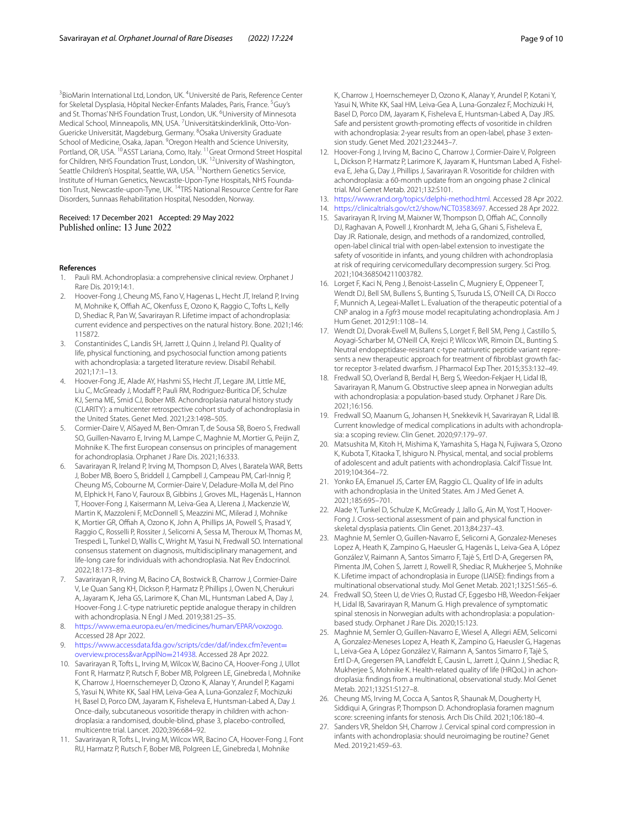<sup>3</sup> BioMarin International Ltd, London, UK. <sup>4</sup> Université de Paris, Reference Center for Skeletal Dysplasia, Hôpital Necker-Enfants Malades, Paris, France. <sup>5</sup>Guy's and St. Thomas' NHS Foundation Trust, London, UK. <sup>6</sup>University of Minnesota Medical School, Minneapolis, MN, USA. <sup>7</sup>Universitätskinderklinik, Otto-Von-Guericke Universität, Magdeburg, Germany. <sup>8</sup>Osaka University Graduate School of Medicine, Osaka, Japan. <sup>9</sup> Oregon Health and Science University, Portland, OR, USA. <sup>10</sup>ASST Lariana, Como, Italy. <sup>11</sup>Great Ormond Street Hospital for Children, NHS Foundation Trust, London, UK. 12University of Washington, Seattle Children's Hospital, Seattle, WA, USA. <sup>13</sup>Northern Genetics Service, Institute of Human Genetics, Newcastle-Upon-Tyne Hospitals, NHS Foundation Trust, Newcastle-upon-Tyne, UK. <sup>14</sup>TRS National Resource Centre for Rare Disorders, Sunnaas Rehabilitation Hospital, Nesodden, Norway.

## Received: 17 December 2021 Accepted: 29 May 2022

#### **References**

- <span id="page-8-0"></span>1. Pauli RM. Achondroplasia: a comprehensive clinical review. Orphanet J Rare Dis. 2019;14:1.
- <span id="page-8-1"></span>2. Hoover-Fong J, Cheung MS, Fano V, Hagenas L, Hecht JT, Ireland P, Irving M, Mohnike K, Offiah AC, Okenfuss E, Ozono K, Raggio C, Tofts L, Kelly D, Shediac R, Pan W, Savarirayan R. Lifetime impact of achondroplasia: current evidence and perspectives on the natural history. Bone. 2021;146: 115872.
- <span id="page-8-2"></span>3. Constantinides C, Landis SH, Jarrett J, Quinn J, Ireland PJ. Quality of life, physical functioning, and psychosocial function among patients with achondroplasia: a targeted literature review. Disabil Rehabil. 2021;17:1–13.
- <span id="page-8-3"></span>4. Hoover-Fong JE, Alade AY, Hashmi SS, Hecht JT, Legare JM, Little ME, Liu C, McGready J, Modaff P, Pauli RM, Rodriguez-Buritica DF, Schulze KJ, Serna ME, Smid CJ, Bober MB. Achondroplasia natural history study (CLARITY): a multicenter retrospective cohort study of achondroplasia in the United States. Genet Med. 2021;23:1498–505.
- <span id="page-8-4"></span>5. Cormier-Daire V, AlSayed M, Ben-Omran T, de Sousa SB, Boero S, Fredwall SO, Guillen-Navarro E, Irving M, Lampe C, Maghnie M, Mortier G, Peijin Z, Mohnike K. The frst European consensus on principles of management for achondroplasia. Orphanet J Rare Dis. 2021;16:333.
- <span id="page-8-5"></span>6. Savarirayan R, Ireland P, Irving M, Thompson D, Alves I, Baratela WAR, Betts J, Bober MB, Boero S, Briddell J, Campbell J, Campeau PM, Carl-Innig P, Cheung MS, Cobourne M, Cormier-Daire V, Deladure-Molla M, del Pino M, Elphick H, Fano V, Fauroux B, Gibbins J, Groves ML, Hagenäs L, Hannon T, Hoover-Fong J, Kaisermann M, Leiva-Gea A, Llerena J, Mackenzie W, Martin K, Mazzoleni F, McDonnell S, Meazzini MC, Milerad J, Mohnike K, Mortier GR, Offiah A, Ozono K, John A, Phillips JA, Powell S, Prasad Y, Raggio C, Rosselli P, Rossiter J, Selicorni A, Sessa M, Theroux M, Thomas M, Trespedi L, Tunkel D, Wallis C, Wright M, Yasui N, Fredwall SO. International consensus statement on diagnosis, multidisciplinary management, and life-long care for individuals with achondroplasia. Nat Rev Endocrinol. 2022;18:173–89.
- <span id="page-8-6"></span>7. Savarirayan R, Irving M, Bacino CA, Bostwick B, Charrow J, Cormier-Daire V, Le Quan Sang KH, Dickson P, Harmatz P, Phillips J, Owen N, Cherukuri A, Jayaram K, Jeha GS, Larimore K, Chan ML, Huntsman Labed A, Day J, Hoover-Fong J. C-type natriuretic peptide analogue therapy in children with achondroplasia. N Engl J Med. 2019;381:25–35.
- <span id="page-8-7"></span>8. <https://www.ema.europa.eu/en/medicines/human/EPAR/voxzogo>. Accessed 28 Apr 2022.
- <span id="page-8-8"></span>[https://www.accessdata.fda.gov/scripts/cder/daf/index.cfm?event](https://www.accessdata.fda.gov/scripts/cder/daf/index.cfm?event=overview.process&varApplNo=214938)= [overview.process&varApplNo](https://www.accessdata.fda.gov/scripts/cder/daf/index.cfm?event=overview.process&varApplNo=214938)=214938. Accessed 28 Apr 2022.
- <span id="page-8-9"></span>10. Savarirayan R, Tofts L, Irving M, Wilcox W, Bacino CA, Hoover-Fong J, Ullot Font R, Harmatz P, Rutsch F, Bober MB, Polgreen LE, Ginebreda I, Mohnike K, Charrow J, Hoernschemeyer D, Ozono K, Alanay Y, Arundel P, Kagami S, Yasui N, White KK, Saal HM, Leiva-Gea A, Luna-Gonzalez F, Mochizuki H, Basel D, Porco DM, Jayaram K, Fisheleva E, Huntsman-Labed A, Day J. Once-daily, subcutaneous vosoritide therapy in children with achondroplasia: a randomised, double-blind, phase 3, placebo-controlled, multicentre trial. Lancet. 2020;396:684–92.
- <span id="page-8-10"></span>11. Savarirayan R, Tofts L, Irving M, Wilcox WR, Bacino CA, Hoover-Fong J, Font RU, Harmatz P, Rutsch F, Bober MB, Polgreen LE, Ginebreda I, Mohnike

K, Charrow J, Hoernschemeyer D, Ozono K, Alanay Y, Arundel P, Kotani Y, Yasui N, White KK, Saal HM, Leiva-Gea A, Luna-Gonzalez F, Mochizuki H, Basel D, Porco DM, Jayaram K, Fisheleva E, Huntsman-Labed A, Day JRS. Safe and persistent growth-promoting efects of vosoritide in children with achondroplasia: 2-year results from an open-label, phase 3 extension study. Genet Med. 2021;23:2443–7.

- <span id="page-8-11"></span>12. Hoover-Fong J, Irving M, Bacino C, Charrow J, Cormier-Daire V, Polgreen L, Dickson P, Harmatz P, Larimore K, Jayaram K, Huntsman Labed A, Fisheleva E, Jeha G, Day J, Phillips J, Savarirayan R. Vosoritide for children with achondroplasia: a 60-month update from an ongoing phase 2 clinical trial. Mol Genet Metab. 2021;132:S101.
- <span id="page-8-12"></span>13. <https://www.rand.org/topics/delphi-method.html>. Accessed 28 Apr 2022.
- <span id="page-8-13"></span>14. [https://clinicaltrials.gov/ct2/show/NCT03583697.](https://clinicaltrials.gov/ct2/show/NCT03583697) Accessed 28 Apr 2022.
- <span id="page-8-14"></span>15. Savarirayan R, Irving M, Maixner W, Thompson D, Offiah AC, Connolly DJ, Raghavan A, Powell J, Kronhardt M, Jeha G, Ghani S, Fisheleva E, Day JR. Rationale, design, and methods of a randomized, controlled, open-label clinical trial with open-label extension to investigate the safety of vosoritide in infants, and young children with achondroplasia at risk of requiring cervicomedullary decompression surgery. Sci Prog. 2021;104:368504211003782.
- <span id="page-8-15"></span>16. Lorget F, Kaci N, Peng J, Benoist-Lasselin C, Mugniery E, Oppeneer T, Wendt DJ, Bell SM, Bullens S, Bunting S, Tsuruda LS, O'Neill CA, Di Rocco F, Munnich A, Legeai-Mallet L. Evaluation of the therapeutic potential of a CNP analog in a *Fgfr*3 mouse model recapitulating achondroplasia. Am J Hum Genet. 2012;91:1108–14.
- <span id="page-8-16"></span>17. Wendt DJ, Dvorak-Ewell M, Bullens S, Lorget F, Bell SM, Peng J, Castillo S, Aoyagi-Scharber M, O'Neill CA, Krejci P, Wilcox WR, Rimoin DL, Bunting S. Neutral endopeptidase-resistant c-type natriuretic peptide variant repre‑ sents a new therapeutic approach for treatment of fibroblast growth factor receptor 3-related dwarfsm. J Pharmacol Exp Ther. 2015;353:132–49.
- <span id="page-8-17"></span>18. Fredwall SO, Overland B, Berdal H, Berg S, Weedon-Fekjaer H, Lidal IB, Savarirayan R, Manum G. Obstructive sleep apnea in Norwegian adults with achondroplasia: a population-based study. Orphanet J Rare Dis. 2021;16:156.
- <span id="page-8-18"></span>19. Fredwall SO, Maanum G, Johansen H, Snekkevik H, Savarirayan R, Lidal IB. Current knowledge of medical complications in adults with achondroplasia: a scoping review. Clin Genet. 2020;97:179–97.
- <span id="page-8-21"></span>20. Matsushita M, Kitoh H, Mishima K, Yamashita S, Haga N, Fujiwara S, Ozono K, Kubota T, Kitaoka T, Ishiguro N. Physical, mental, and social problems of adolescent and adult patients with achondroplasia. Calcif Tissue Int. 2019;104:364–72.
- <span id="page-8-19"></span>21. Yonko EA, Emanuel JS, Carter EM, Raggio CL. Quality of life in adults with achondroplasia in the United States. Am J Med Genet A. 2021;185:695–701.
- <span id="page-8-20"></span>22. Alade Y, Tunkel D, Schulze K, McGready J, Jallo G, Ain M, Yost T, Hoover-Fong J. Cross-sectional assessment of pain and physical function in skeletal dysplasia patients. Clin Genet. 2013;84:237–43.
- <span id="page-8-22"></span>23. Maghnie M, Semler O, Guillen-Navarro E, Selicorni A, Gonzalez-Meneses Lopez A, Heath K, Zampino G, Haeusler G, Hagenäs L, Leiva-Gea A, López González V, Raimann A, Santos Simarro F, Tajè S, Ertl D-A, Gregersen PA, Pimenta JM, Cohen S, Jarrett J, Rowell R, Shediac R, Mukherjee S, Mohnike K. Lifetime impact of achondroplasia in Europe (LIAISE): fndings from a multinational observational study. Mol Genet Metab. 2021;132S1:S65–6.
- <span id="page-8-23"></span>24. Fredwall SO, Steen U, de Vries O, Rustad CF, Eggesbo HB, Weedon-Fekjaer H, Lidal IB, Savarirayan R, Manum G. High prevalence of symptomatic spinal stenosis in Norwegian adults with achondroplasia: a populationbased study. Orphanet J Rare Dis. 2020;15:123.
- <span id="page-8-24"></span>25. Maghnie M, Semler O, Guillen-Navarro E, Wiesel A, Allegri AEM, Selicorni A, Gonzalez-Meneses Lopez A, Heath K, Zampino G, Haeusler G, Hagenas L, Leiva-Gea A, López González V, Raimann A, Santos Simarro F, Tajè S, Ertl D-A, Gregersen PA, Landfeldt E, Causin L, Jarrett J, Quinn J, Shediac R, Mukherjee S, Mohnike K. Health-related quality of life (HRQoL) in achondroplasia: fndings from a multinational, observational study. Mol Genet Metab. 2021;132S1:S127–8.
- <span id="page-8-25"></span>26. Cheung MS, Irving M, Cocca A, Santos R, Shaunak M, Dougherty H, Siddiqui A, Gringras P, Thompson D. Achondroplasia foramen magnum score: screening infants for stenosis. Arch Dis Child. 2021;106:180–4.
- <span id="page-8-26"></span>27. Sanders VR, Sheldon SH, Charrow J. Cervical spinal cord compression in infants with achondroplasia: should neuroimaging be routine? Genet Med. 2019;21:459–63.